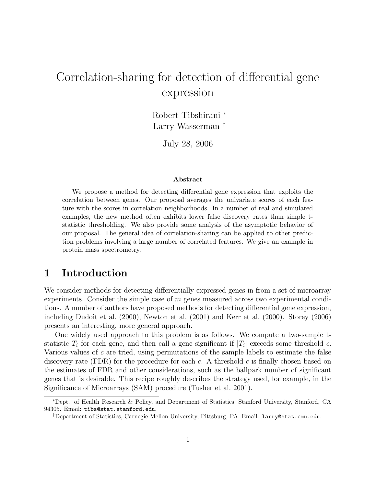# Correlation-sharing for detection of differential gene expression

Robert Tibshirani <sup>∗</sup> Larry Wasserman †

July 28, 2006

#### Abstract

We propose a method for detecting differential gene expression that exploits the correlation between genes. Our proposal averages the univariate scores of each feature with the scores in correlation neighborhoods. In a number of real and simulated examples, the new method often exhibits lower false discovery rates than simple tstatistic thresholding. We also provide some analysis of the asymptotic behavior of our proposal. The general idea of correlation-sharing can be applied to other prediction problems involving a large number of correlated features. We give an example in protein mass spectrometry.

#### 1 Introduction

We consider methods for detecting differentially expressed genes in from a set of microarray experiments. Consider the simple case of  $m$  genes measured across two experimental conditions. A number of authors have proposed methods for detecting differential gene expression, including Dudoit et al. (2000), Newton et al. (2001) and Kerr et al. (2000). Storey (2006) presents an interesting, more general approach.

One widely used approach to this problem is as follows. We compute a two-sample tstatistic  $T_i$  for each gene, and then call a gene significant if  $|T_i|$  exceeds some threshold c. Various values of  $c$  are tried, using permutations of the sample labels to estimate the false discovery rate (FDR) for the procedure for each c. A threshold c is finally chosen based on the estimates of FDR and other considerations, such as the ballpark number of significant genes that is desirable. This recipe roughly describes the strategy used, for example, in the Significance of Microarrays (SAM) procedure (Tusher et al. 2001).

<sup>∗</sup>Dept. of Health Research & Policy, and Department of Statistics, Stanford University, Stanford, CA 94305. Email: tibs@stat.stanford.edu.

<sup>†</sup>Department of Statistics, Carnegie Mellon University, Pittsburg, PA. Email: larry@stat.cmu.edu.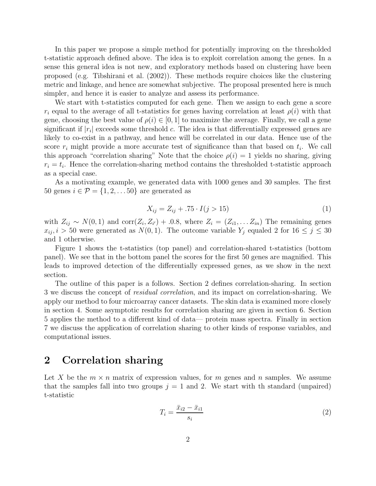In this paper we propose a simple method for potentially improving on the thresholded t-statistic approach defined above. The idea is to exploit correlation among the genes. In a sense this general idea is not new, and exploratory methods based on clustering have been proposed (e.g. Tibshirani et al. (2002)). These methods require choices like the clustering metric and linkage, and hence are somewhat subjective. The proposal presented here is much simpler, and hence it is easier to analyze and assess its performance.

We start with t-statistics computed for each gene. Then we assign to each gene a score  $r_i$  equal to the average of all t-statistics for genes having correlation at least  $\rho(i)$  with that gene, choosing the best value of  $\rho(i) \in [0, 1]$  to maximize the average. Finally, we call a gene significant if  $|r_i|$  exceeds some threshold c. The idea is that differentially expressed genes are likely to co-exist in a pathway, and hence will be correlated in our data. Hence use of the score  $r_i$  might provide a more accurate test of significance than that based on  $t_i$ . We call this approach "correlation sharing" Note that the choice  $\rho(i) = 1$  yields no sharing, giving  $r_i = t_i$ . Hence the correlation-sharing method contains the thresholded t-statistic approach as a special case.

As a motivating example, we generated data with 1000 genes and 30 samples. The first 50 genes  $i \in \mathcal{P} = \{1, 2, \ldots, 50\}$  are generated as

$$
X_{ij} = Z_{ij} + .75 \cdot I(j > 15)
$$
 (1)

with  $Z_{ij} \sim N(0,1)$  and  $\text{corr}(Z_i, Z_{i'}) + 0.8$ , where  $Z_i = (Z_{i1}, \ldots Z_{in})$  The remaining genes  $x_{ij}$ ,  $i > 50$  were generated as  $N(0, 1)$ . The outcome variable  $Y_j$  equaled 2 for  $16 \leq j \leq 30$ and 1 otherwise.

Figure 1 shows the t-statistics (top panel) and correlation-shared t-statistics (bottom panel). We see that in the bottom panel the scores for the first 50 genes are magnified. This leads to improved detection of the differentially expressed genes, as we show in the next section.

The outline of this paper is a follows. Section 2 defines correlation-sharing. In section 3 we discuss the concept of residual correlation, and its impact on correlation-sharing. We apply our method to four microarray cancer datasets. The skin data is examined more closely in section 4. Some asymptotic results for correlation sharing are given in section 6. Section 5 applies the method to a different kind of data— protein mass spectra. Finally in section 7 we discuss the application of correlation sharing to other kinds of response variables, and computational issues.

#### 2 Correlation sharing

Let X be the  $m \times n$  matrix of expression values, for m genes and n samples. We assume that the samples fall into two groups  $j = 1$  and 2. We start with the standard (unpaired) t-statistic

$$
T_i = \frac{\bar{x}_{i2} - \bar{x}_{i1}}{s_i} \tag{2}
$$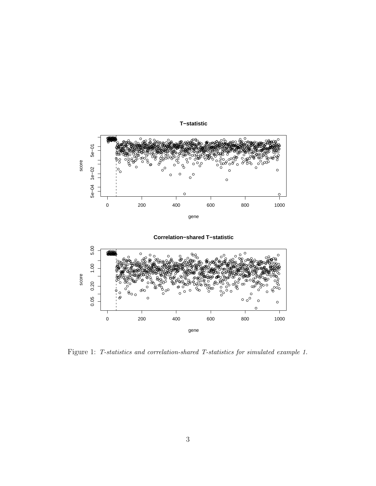

Figure 1: T-statistics and correlation-shared T-statistics for simulated example 1.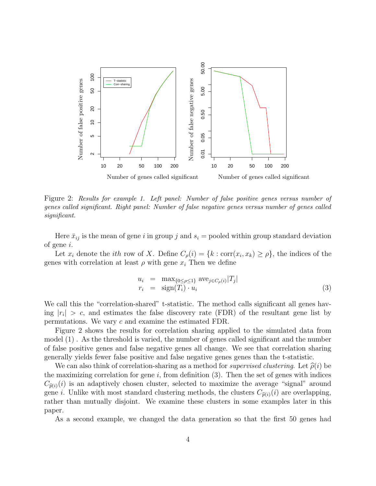

Figure 2: Results for example 1. Left panel: Number of false positive genes versus number of genes called significant. Right panel: Number of false negative genes versus number of genes called significant.

Here  $\bar{x}_{ij}$  is the mean of gene i in group j and  $s_i$  = pooled within group standard deviation of gene i.

Let  $x_i$  denote the *ith* row of X. Define  $C_\rho(i) = \{k : \text{corr}(x_i, x_k) \ge \rho\}$ , the indices of the genes with correlation at least  $\rho$  with gene  $x_i$ . Then we define

$$
u_i = \max_{\{0 \le \rho \le 1\}} \text{ave}_{j \in C_\rho(i)} |T_j|
$$
  
\n
$$
r_i = \text{sign}(T_i) \cdot u_i
$$
\n(3)

We call this the "correlation-shared" t-statistic. The method calls significant all genes having  $|r_i| > c$ , and estimates the false discovery rate (FDR) of the resultant gene list by permutations. We vary c and examine the estimated FDR.

Figure 2 shows the results for correlation sharing applied to the simulated data from model (1) . As the threshold is varied, the number of genes called significant and the number of false positive genes and false negative genes all change. We see that correlation sharing generally yields fewer false positive and false negative genes genes than the t-statistic.

We can also think of correlation-sharing as a method for *supervised clustering*. Let  $\hat{\rho}(i)$  be the maximizing correlation for gene  $i$ , from definition (3). Then the set of genes with indices  $C_{\hat{p}(i)}(i)$  is an adaptively chosen cluster, selected to maximize the average "signal" around gene i. Unlike with most standard clustering methods, the clusters  $C_{\hat{p}(i)}(i)$  are overlapping, rather than mutually disjoint. We examine these clusters in some examples later in this paper.

As a second example, we changed the data generation so that the first 50 genes had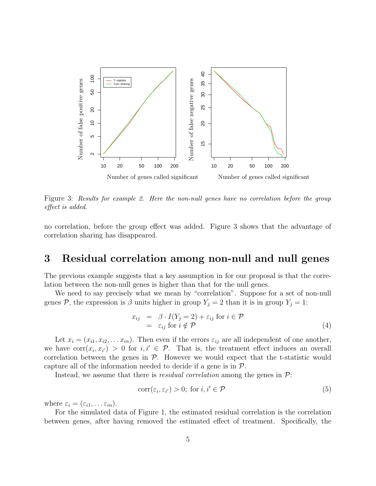

Figure 3: Results for example 2. Here the non-null genes have no correlation before the group effect is added.

no correlation, before the group effect was added. Figure 3 shows that the advantage of correlation sharing has disappeared.

#### 3 Residual correlation among non-null and null genes

The previous example suggests that a key assumption in for our proposal is that the correlation between the non-null genes is higher than that for the null genes.

We need to say precisely what we mean by "correlation". Suppose for a set of non-null genes P, the expression is  $\beta$  units higher in group  $Y_j = 2$  than it is in group  $Y_j = 1$ :

$$
x_{ij} = \beta \cdot I(Y_j = 2) + \varepsilon_{ij} \text{ for } i \in \mathcal{P}
$$
  
=  $\varepsilon_{ij} \text{ for } i \notin \mathcal{P}$  (4)

Let  $x_i = (x_{i1}, x_{i2}, \ldots x_{in})$ . Then even if the errors  $\varepsilon_{ij}$  are all independent of one another, we have  $\text{corr}(x_i, x_{i'}) > 0$  for  $i, i' \in \mathcal{P}$ . That is, the treatment effect induces an overall correlation between the genes in  $P$ . However we would expect that the t-statistic would capture all of the information needed to decide if a gene is in  $\mathcal{P}$ .

Instead, we assume that there is *residual correlation* among the genes in  $\mathcal{P}$ :

$$
corr(\varepsilon_i, \varepsilon_{i'}) > 0; \text{ for } i, i' \in \mathcal{P}
$$
\n
$$
(5)
$$

where  $\varepsilon_i = (\varepsilon_{i1}, \dots \varepsilon_{in}).$ 

For the simulated data of Figure 1, the estimated residual correlation is the correlation between genes, after having removed the estimated effect of treatment. Specifically, the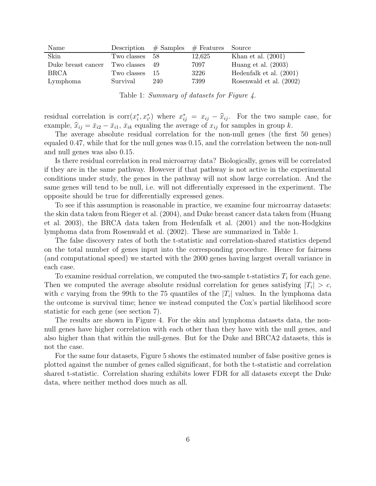| Name               |             |      | Description $#$ Samples $#$ Features Source |                           |
|--------------------|-------------|------|---------------------------------------------|---------------------------|
| Skin               | Two classes | - 58 | 12,625                                      | Khan et al. $(2001)$      |
| Duke breast cancer | Two classes | - 49 | 7097                                        | Huang et al. $(2003)$     |
| <b>BRCA</b>        | Two classes | - 15 | 3226                                        | Hedenfalk et al. $(2001)$ |
| Lymphoma           | Survival    | 240  | 7399                                        | Rosenwald et al. (2002)   |

Table 1: Summary of datasets for Figure 4.

residual correlation is  $\text{corr}(x_i^*, x_{i'}^*)$  where  $x_{ij}^* = x_{ij} - \hat{x}_{ij}$ . For the two sample case, for example,  $\hat{x}_{ij} = \bar{x}_{i2} - \bar{x}_{i1}$ ,  $\bar{x}_{ik}$  equaling the average of  $x_{ij}$  for samples in group k.

The average absolute residual correlation for the non-null genes (the first 50 genes) equaled 0.47, while that for the null genes was 0.15, and the correlation between the non-null and null genes was also 0.15.

Is there residual correlation in real microarray data? Biologically, genes will be correlated if they are in the same pathway. However if that pathway is not active in the experimental conditions under study, the genes in the pathway will not show large correlation. And the same genes will tend to be null, i.e. will not differentially expressed in the experiment. The opposite should be true for differentially expressed genes.

To see if this assumption is reasonable in practice, we examine four microarray datasets: the skin data taken from Rieger et al. (2004), and Duke breast cancer data taken from (Huang et al. 2003), the BRCA data taken from Hedenfalk et al. (2001) and the non-Hodgkins lymphoma data from Rosenwald et al. (2002). These are summarized in Table 1.

The false discovery rates of both the t-statistic and correlation-shared statistics depend on the total number of genes input into the corresponding procedure. Hence for fairness (and computational speed) we started with the 2000 genes having largest overall variance in each case.

To examine residual correlation, we computed the two-sample t-statistics  $T_i$  for each gene. Then we computed the average absolute residual correlation for genes satisfying  $|T_i| > c$ , with c varying from the 99th to the 75 quantiles of the  $|T_i|$  values. In the lymphoma data the outcome is survival time; hence we instead computed the Cox's partial likelihood score statistic for each gene (see section 7).

The results are shown in Figure 4. For the skin and lymphoma datasets data, the nonnull genes have higher correlation with each other than they have with the null genes, and also higher than that within the null-genes. But for the Duke and BRCA2 datasets, this is not the case.

For the same four datasets, Figure 5 shows the estimated number of false positive genes is plotted against the number of genes called significant, for both the t-statistic and correlation shared t-statistic. Correlation sharing exhibits lower FDR for all datasets except the Duke data, where neither method does much as all.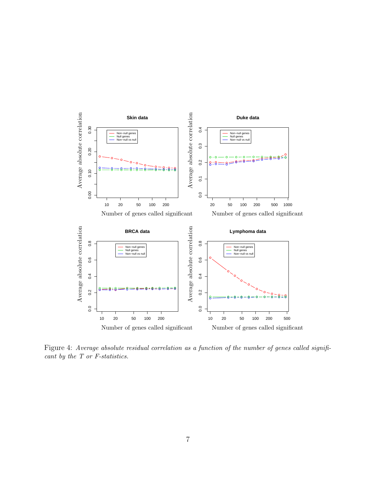

Figure 4: Average absolute residual correlation as a function of the number of genes called significant by the T or F-statistics.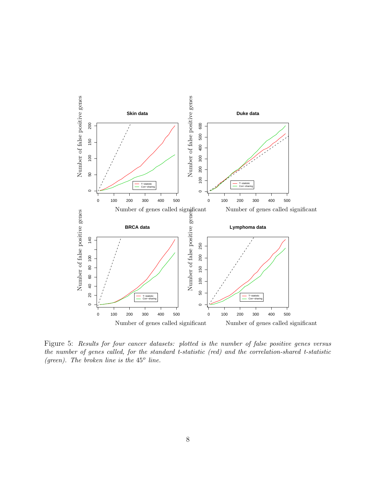

Figure 5: Results for four cancer datasets: plotted is the number of false positive genes versus the number of genes called, for the standard t-statistic (red) and the correlation-shared t-statistic (green). The broken line is the  $45^{\circ}$  line.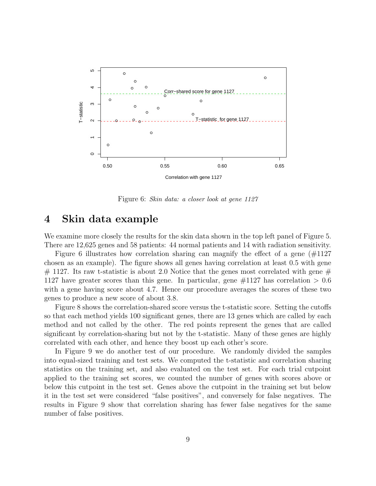

Figure 6: Skin data: a closer look at gene 1127

#### 4 Skin data example

We examine more closely the results for the skin data shown in the top left panel of Figure 5. There are 12,625 genes and 58 patients: 44 normal patients and 14 with radiation sensitivity.

Figure 6 illustrates how correlation sharing can magnify the effect of a gene (#1127 chosen as an example). The figure shows all genes having correlation at least 0.5 with gene  $\#$  1127. Its raw t-statistic is about 2.0 Notice that the genes most correlated with gene  $\#$ 1127 have greater scores than this gene. In particular, gene  $\#1127$  has correlation  $> 0.6$ with a gene having score about 4.7. Hence our procedure averages the scores of these two genes to produce a new score of about 3.8.

Figure 8 shows the correlation-shared score versus the t-statistic score. Setting the cutoffs so that each method yields 100 significant genes, there are 13 genes which are called by each method and not called by the other. The red points represent the genes that are called significant by correlation-sharing but not by the t-statistic. Many of these genes are highly correlated with each other, and hence they boost up each other's score.

In Figure 9 we do another test of our procedure. We randomly divided the samples into equal-sized training and test sets. We computed the t-statistic and correlation sharing statistics on the training set, and also evaluated on the test set. For each trial cutpoint applied to the training set scores, we counted the number of genes with scores above or below this cutpoint in the test set. Genes above the cutpoint in the training set but below it in the test set were considered "false positives", and conversely for false negatives. The results in Figure 9 show that correlation sharing has fewer false negatives for the same number of false positives.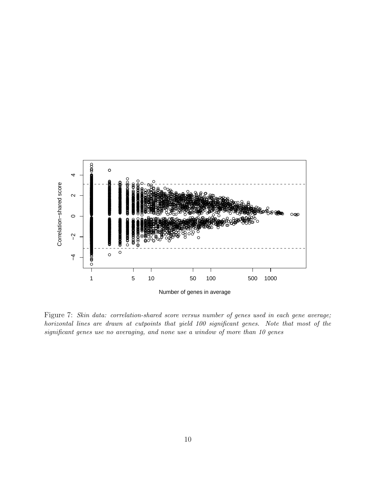

Figure 7: Skin data: correlation-shared score versus number of genes used in each gene average; horizontal lines are drawn at cutpoints that yield 100 significant genes. Note that most of the significant genes use no averaging, and none use a window of more than 10 genes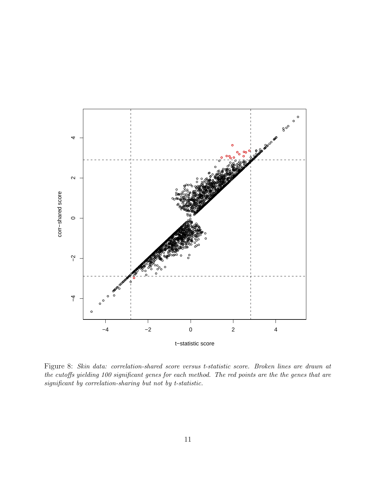

Figure 8: Skin data: correlation-shared score versus t-statistic score. Broken lines are drawn at the cutoffs yielding 100 significant genes for each method. The red points are the the genes that are significant by correlation-sharing but not by t-statistic.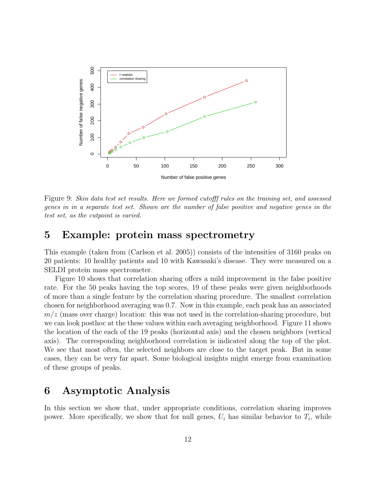

Figure 9: Skin data test set results. Here we formed cutofff rules on the training set, and assessed genes in in a separate test set. Shown are the number of false positive and negative genes in the test set, as the cutpoint is varied.

#### 5 Example: protein mass spectrometry

This example (taken from (Carlson et al. 2005)) consists of the intensities of 3160 peaks on 20 patients: 10 healthy patients and 10 with Kawasaki's disease. They were measured on a SELDI protein mass spectrometer.

Figure 10 shows that correlation sharing offers a mild improvement in the false positive rate. For the 50 peaks having the top scores, 19 of these peaks were given neighborhoods of more than a single feature by the correlation sharing procedure. The smallest correlation chosen for neighborhood averaging was 0.7. Now in this example, each peak has an associated  $m/z$  (mass over charge) location: this was not used in the correlation-sharing procedure, but we can look posthoc at the these values within each averaging neighborhood. Figure 11 shows the location of the each of the 19 peaks (horizontal axis) and the chosen neighbors (vertical axis). The corresponding neighborhood correlation is indicated along the top of the plot. We see that most often, the selected neighbors are close to the target peak. But in some cases, they can be very far apart. Some biological insights might emerge from examination of these groups of peaks.

## 6 Asymptotic Analysis

In this section we show that, under appropriate conditions, correlation sharing improves power. More specifically, we show that for null genes,  $U_i$  has similar behavior to  $T_i$ , while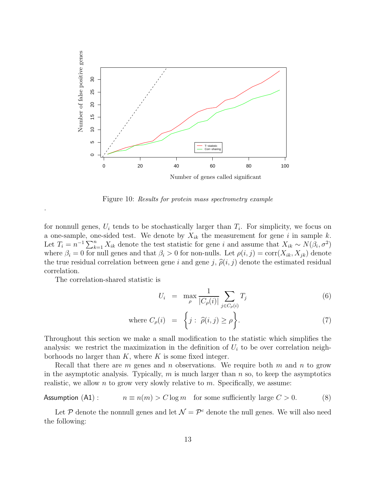

Figure 10: Results for protein mass spectrometry example

for nonnull genes,  $U_i$  tends to be stochastically larger than  $T_i$ . For simplicity, we focus on a one-sample, one-sided test. We denote by  $X_{ik}$  the measurement for gene i in sample k. Let  $T_i = n^{-1} \sum_{k=1}^n X_{ik}$  denote the test statistic for gene i and assume that  $X_{ik} \sim N(\beta_i, \sigma^2)$ where  $\beta_i = 0$  for null genes and that  $\beta_i > 0$  for non-nulls. Let  $\rho(i, j) = \text{corr}(X_{ik}, X_{jk})$  denote the true residual correlation between gene i and gene j,  $\hat{\rho}(i, j)$  denote the estimated residual correlation.

The correlation-shared statistic is

.

$$
U_i = \max_{\rho} \frac{1}{|C_{\rho}(i)|} \sum_{j \in C_{\rho}(i)} T_j \tag{6}
$$

where 
$$
C_{\rho}(i) = \left\{ j : \widehat{\rho}(i,j) \ge \rho \right\}
$$
. (7)

Throughout this section we make a small modification to the statistic which simplifies the analysis: we restrict the maximization in the definition of  $U_i$  to be over correlation neighborhoods no larger than  $K$ , where  $K$  is some fixed integer.

Recall that there are m genes and n observations. We require both m and n to grow in the asymptotic analysis. Typically,  $m$  is much larger than  $n$  so, to keep the asymptotics realistic, we allow n to grow very slowly relative to  $m$ . Specifically, we assume:

Assumption (A1): 
$$
n \equiv n(m) > C \log m
$$
 for some sufficiently large  $C > 0$ . (8)

Let P denote the nonnull genes and let  $\mathcal{N} = \mathcal{P}^c$  denote the null genes. We will also need the following: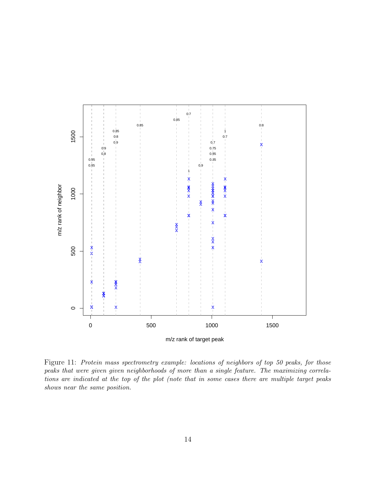

Figure 11: Protein mass spectrometry example: locations of neighbors of top 50 peaks, for those peaks that were given given neighborhoods of more than a single feature. The maximizing correlations are indicated at the top of the plot (note that in some cases there are multiple target peaks shows near the same position.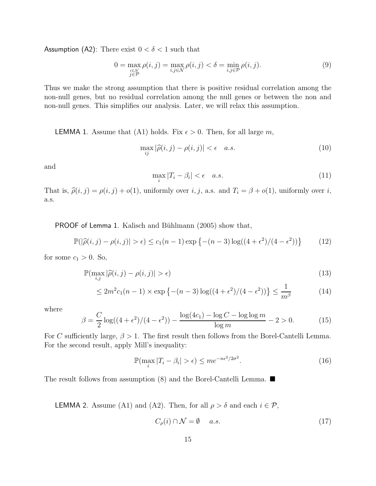Assumption (A2): There exist  $0 < \delta < 1$  such that

$$
0 = \max_{\substack{i \in \mathcal{N} \\ j \in \mathcal{P}}} \rho(i, j) = \max_{i, j \in \mathcal{N}} \rho(i, j) < \delta = \min_{i, j \in \mathcal{P}} \rho(i, j). \tag{9}
$$

Thus we make the strong assumption that there is positive residual correlation among the non-null genes, but no residual correlation among the null genes or between the non and non-null genes. This simplifies our analysis. Later, we will relax this assumption.

**LEMMA 1.** Assume that (A1) holds. Fix  $\epsilon > 0$ . Then, for all large m,

$$
\max_{ij} |\widehat{\rho}(i,j) - \rho(i,j)| < \epsilon \quad a.s. \tag{10}
$$

and

$$
\max_{i} |T_i - \beta_i| < \epsilon \quad a.s. \tag{11}
$$

That is,  $\hat{\rho}(i, j) = \rho(i, j) + o(1)$ , uniformly over  $i, j$ , a.s. and  $T_i = \beta + o(1)$ , uniformly over  $i$ , a.s.

**PROOF of Lemma 1.** Kalisch and Bühlmann  $(2005)$  show that,

$$
\mathbb{P}(|\hat{\rho}(i,j) - \rho(i,j)| > \epsilon) \le c_1(n-1)\exp\left\{-(n-3)\log((4+\epsilon^2)/(4-\epsilon^2))\right\} \tag{12}
$$

for some  $c_1 > 0$ . So,

$$
\mathbb{P}(\max_{i,j} |\widehat{\rho}(i,j) - \rho(i,j)| > \epsilon)
$$
\n(13)

$$
\leq 2m^2 c_1(n-1) \times \exp\left\{-(n-3)\log((4+\epsilon^2)/(4-\epsilon^2))\right\} \leq \frac{1}{m^{\beta}} \tag{14}
$$

where

$$
\beta = \frac{C}{2}\log((4+\epsilon^2)/(4-\epsilon^2)) - \frac{\log(4c_1) - \log C - \log\log m}{\log m} - 2 > 0. \tag{15}
$$

For C sufficiently large,  $\beta > 1$ . The first result then follows from the Borel-Cantelli Lemma. For the second result, apply Mill's inequality:

$$
\mathbb{P}(\max_{i}|T_{i}-\beta_{i}|>\epsilon)\leq me^{-n\epsilon^{2}/2\sigma^{2}}.
$$
\n(16)

The result follows from assumption (8) and the Borel-Cantelli Lemma.  $\blacksquare$ 

**LEMMA** 2. Assume (A1) and (A2). Then, for all  $\rho > \delta$  and each  $i \in \mathcal{P}$ ,

$$
C_{\rho}(i) \cap \mathcal{N} = \emptyset \quad a.s. \tag{17}
$$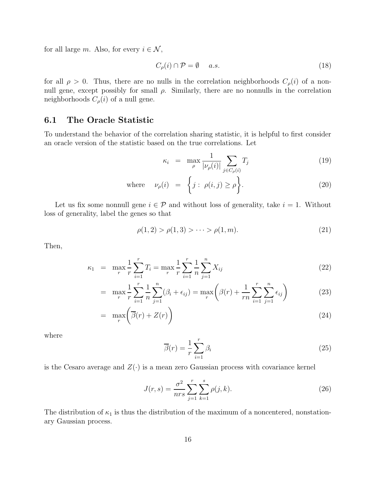for all large m. Also, for every  $i \in \mathcal{N}$ ,

$$
C_{\rho}(i) \cap \mathcal{P} = \emptyset \quad a.s. \tag{18}
$$

for all  $\rho > 0$ . Thus, there are no nulls in the correlation neighborhoods  $C_{\rho}(i)$  of a nonnull gene, except possibly for small  $\rho$ . Similarly, there are no nonnulls in the correlation neighborhoods  $C_{\rho}(i)$  of a null gene.

#### 6.1 The Oracle Statistic

To understand the behavior of the correlation sharing statistic, it is helpful to first consider an oracle version of the statistic based on the true correlations. Let

$$
\kappa_i = \max_{\rho} \frac{1}{|\nu_{\rho}(i)|} \sum_{j \in C_{\rho}(i)} T_j \tag{19}
$$

where 
$$
\nu_{\rho}(i) = \left\{ j : \rho(i,j) \ge \rho \right\}.
$$
 (20)

Let us fix some nonnull gene  $i \in \mathcal{P}$  and without loss of generality, take  $i = 1$ . Without loss of generality, label the genes so that

$$
\rho(1,2) > \rho(1,3) > \cdots > \rho(1,m). \tag{21}
$$

Then,

$$
\kappa_1 = \max_{r} \frac{1}{r} \sum_{i=1}^{r} T_i = \max_{r} \frac{1}{r} \sum_{i=1}^{r} \frac{1}{n} \sum_{j=1}^{n} X_{ij}
$$
\n(22)

$$
= \max_{r} \frac{1}{r} \sum_{i=1}^{r} \frac{1}{n} \sum_{j=1}^{n} (\beta_i + \epsilon_{ij}) = \max_{r} \left( \beta(r) + \frac{1}{rn} \sum_{i=1}^{r} \sum_{j=1}^{n} \epsilon_{ij} \right)
$$
(23)

$$
= \max_{r} \left( \overline{\beta}(r) + Z(r) \right) \tag{24}
$$

where

$$
\overline{\beta}(r) = \frac{1}{r} \sum_{i=1}^{r} \beta_i
$$
\n(25)

is the Cesaro average and  $Z(\cdot)$  is a mean zero Gaussian process with covariance kernel

$$
J(r,s) = \frac{\sigma^2}{nrs} \sum_{j=1}^r \sum_{k=1}^s \rho(j,k).
$$
 (26)

The distribution of  $\kappa_1$  is thus the distribution of the maximum of a noncentered, nonstationary Gaussian process.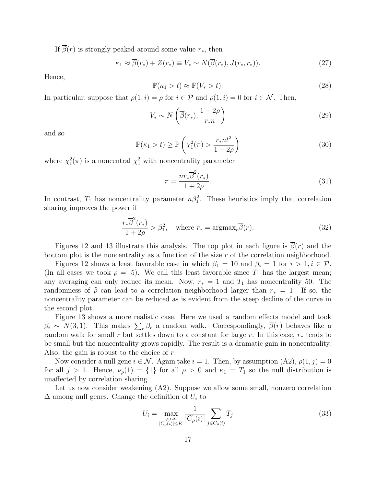If  $\beta(r)$  is strongly peaked around some value  $r_*,$  then

$$
\kappa_1 \approx \overline{\beta}(r_*) + Z(r_*) \equiv V_* \sim N(\overline{\beta}(r_*), J(r_*, r_*)). \tag{27}
$$

Hence,

$$
\mathbb{P}(\kappa_1 > t) \approx \mathbb{P}(V_* > t). \tag{28}
$$

In particular, suppose that  $\rho(1, i) = \rho$  for  $i \in \mathcal{P}$  and  $\rho(1, i) = 0$  for  $i \in \mathcal{N}$ . Then,

$$
V_* \sim N\left(\overline{\beta}(r_*), \frac{1+2\rho}{r_* n}\right) \tag{29}
$$

and so

$$
\mathbb{P}(\kappa_1 > t) \ge \mathbb{P}\left(\chi_1^2(\pi) > \frac{r_* n t^2}{1 + 2\rho}\right)
$$
\n(30)

where  $\chi_1^2(\pi)$  is a noncentral  $\chi_1^2$  with noncentrality parameter

$$
\pi = \frac{n r_* \overline{\beta}^2(r_*)}{1 + 2\rho}.
$$
\n(31)

In contrast,  $T_1$  has noncentrality parameter  $n\beta_1^2$ . These heuristics imply that correlation sharing improves the power if

$$
\frac{r_*\overline{\beta}^2(r_*)}{1+2\rho} > \beta_1^2, \quad \text{where } r_* = \text{argmax}_r \overline{\beta}(r). \tag{32}
$$

Figures 12 and 13 illustrate this analysis. The top plot in each figure is  $\beta(r)$  and the bottom plot is the noncentrality as a function of the size r of the correlation neighborhood.

Figures 12 shows a least favorable case in which  $\beta_1 = 10$  and  $\beta_i = 1$  for  $i > 1, i \in \mathcal{P}$ . (In all cases we took  $\rho = .5$ ). We call this least favorable since  $T_1$  has the largest mean; any averaging can only reduce its mean. Now,  $r_* = 1$  and  $T_1$  has noncentrality 50. The randomness of  $\hat{\rho}$  can lead to a correlation neighborhood larger than  $r_* = 1$ . If so, the noncentrality parameter can be reduced as is evident from the steep decline of the curve in the second plot.

Figure 13 shows a more realistic case. Here we used a random effects model and took  $\beta_i \sim N(3, 1)$ . This makes  $\sum_r \beta_r$  a random walk. Correspondingly,  $\overline{\beta}(r)$  behaves like a random walk for small r but settles down to a constant for large r. In this case,  $r_*$  tends to be small but the noncentrality grows rapidly. The result is a dramatic gain in noncentrality. Also, the gain is robust to the choice of  $r$ .

Now consider a null gene  $i \in \mathcal{N}$ . Again take  $i = 1$ . Then, by assumption  $(A2)$ ,  $\rho(1, j) = 0$ for all  $j > 1$ . Hence,  $\nu_{\rho}(1) = \{1\}$  for all  $\rho > 0$  and  $\kappa_1 = T_1$  so the null distribution is unaffected by correlation sharing.

Let us now consider weakening (A2). Suppose we allow some small, nonzero correlation  $\Delta$  among null genes. Change the definition of  $U_i$  to

$$
U_i = \max_{\substack{\rho > \Delta \\ |C_{\rho}(i)| \le K}} \frac{1}{|C_{\rho}(i)|} \sum_{j \in C_{\rho}(i)} T_j
$$
\n(33)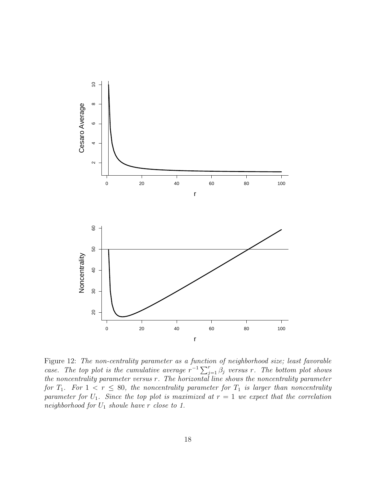

Figure 12: The non-centrality parameter as a function of neighborhood size; least favorable case. The top plot is the cumulative average  $r^{-1} \sum_{j=1}^{r} \beta_j$  versus r. The bottom plot shows the noncentrality parameter versus r. The horizontal line shows the noncentrality parameter for  $T_1$ . For  $1 < r \leq 80$ , the noncentrality parameter for  $T_1$  is larger than noncentrality parameter for  $U_1$ . Since the top plot is maximized at  $r = 1$  we expect that the correlation neighborhood for  $U_1$  shoule have r close to 1.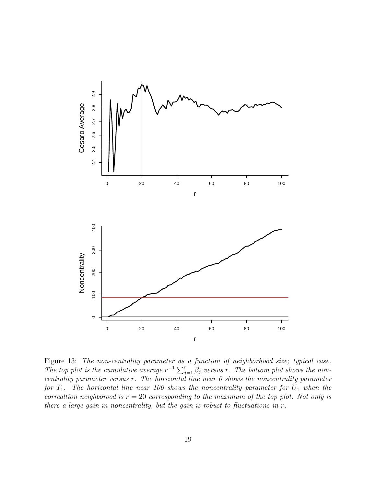

Figure 13: The non-centrality parameter as a function of neighborhood size; typical case. The top plot is the cumulative average  $r^{-1} \sum_{j=1}^{r} \beta_j$  versus r. The bottom plot shows the noncentrality parameter versus r. The horizontal line near 0 shows the noncentrality parameter for  $T_1$ . The horizontal line near 100 shows the noncentrality parameter for  $U_1$  when the correaltion neighborood is  $r = 20$  corresponding to the maximum of the top plot. Not only is there a large gain in noncentrality, but the gain is robust to fluctuations in r.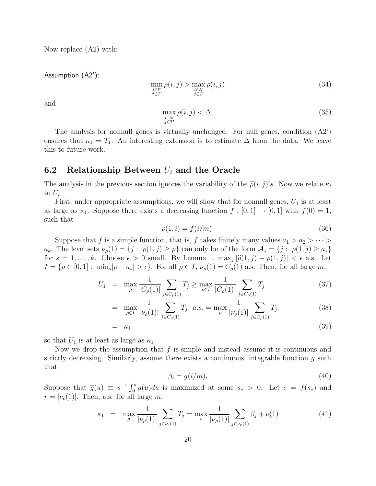Now replace (A2) with:

Assumption (A2'):

$$
\min_{\substack{i \in \mathcal{P} \\ j \in \mathcal{P}}} \rho(i,j) > \max_{\substack{i \in \mathcal{N} \\ j \in \mathcal{P}}} \rho(i,j) \tag{34}
$$

and

$$
\max_{\substack{i \in \mathcal{N} \\ j \in \mathcal{P}}} \rho(i,j) < \Delta. \tag{35}
$$

The analysis for nonnull genes is virtually unchanged. For null genes, condition  $(A2)$ ensures that  $\kappa_1 = T_1$ . An interesting extension is to estimate  $\Delta$  from the data. We leave this to future work.

#### 6.2 Relationship Between  $U_i$  and the Oracle

The analysis in the previous section ignores the variability of the  $\hat{\rho}(i, j)'s$ . Now we relate  $\kappa_i$ to  $U_i$ .

First, under appropriate assumptions, we will show that for nonnull genes,  $U_1$  is at least as large as  $\kappa_1$ . Suppose there exists a decreasing function  $f : [0,1] \to [0,1]$  with  $f(0) = 1$ , such that

$$
\rho(1,i) = f(i/m). \tag{36}
$$

Suppose that f is a simple function, that is, f takes finitely many values  $a_1 > a_2 > \cdots > a_n$  $a_k$ . The level sets  $\nu_\rho(1) = \{j : \rho(1,j) \geq \rho\}$  can only be of the form  $\mathcal{A}_s = \{j : \rho(1,j) \geq a_s\}$ for  $s = 1, \ldots, k$ . Choose  $\epsilon > 0$  small. By Lemma 1,  $\max_j |\hat{\rho}(1,j) - \rho(1,j)| < \epsilon$  a.s. Let  $I = \{ \rho \in [0, 1]: \min_s |\rho - a_s| > \epsilon \}.$  For all  $\rho \in I$ ,  $\nu_\rho(1) = C_\rho(1)$  a.s. Then, for all large m,

$$
U_1 = \max_{\rho} \frac{1}{|C_{\rho}(1)|} \sum_{j \in C_{\rho}(1)} T_j \ge \max_{\rho \in I} \frac{1}{|C_{\rho}(1)|} \sum_{j \in C_{\rho}(1)} T_j \tag{37}
$$

$$
= \max_{\rho \in I} \frac{1}{|\nu_{\rho}(1)|} \sum_{j \in C_{\rho}(1)} T_j \quad a.s. = \max_{\rho} \frac{1}{|\nu_{\rho}(1)|} \sum_{j \in C_{\rho}(1)} T_j \tag{38}
$$

$$
= \kappa_1 \tag{39}
$$

so that  $U_1$  is at least as large as  $\kappa_1$ .

Now we drop the assumption that  $f$  is simple and instead assume it is continuous and strictly decreasing. Similarly, assume there exists a continuous, integrable function  $g$  such that

$$
\beta_i = g(i/m). \tag{40}
$$

Suppose that  $\overline{g}(u) \equiv s^{-1} \int_0^s g(u) du$  is maximized at some  $s_* > 0$ . Let  $c = f(s_*)$  and  $r = |\nu_c(1)|$ . Then, a.s. for all large m,

$$
\kappa_1 = \max_{\rho} \frac{1}{|\nu_{\rho}(1)|} \sum_{j \in \nu_c(1)} T_j = \max_{\rho} \frac{1}{|\nu_{\rho}(1)|} \sum_{j \in \nu_{\rho}(1)} \beta_j + o(1) \tag{41}
$$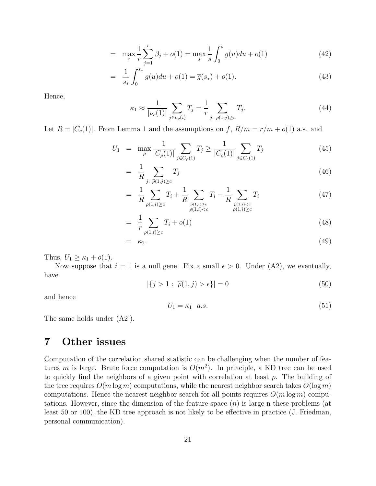$$
= \max_{r} \frac{1}{r} \sum_{j=1}^{r} \beta_j + o(1) = \max_{s} \frac{1}{s} \int_{0}^{s} g(u) du + o(1)
$$
 (42)

$$
= \frac{1}{s_*} \int_0^{s_*} g(u) du + o(1) = \overline{g}(s_*) + o(1).
$$
 (43)

Hence,

$$
\kappa_1 \approx \frac{1}{|\nu_c(1)|} \sum_{j \in \nu_\rho(i)} T_j = \frac{1}{r} \sum_{j: \ \rho(1,j) \ge c} T_j. \tag{44}
$$

Let  $R = |C_c(1)|$ . From Lemma 1 and the assumptions on f,  $R/m = r/m + o(1)$  a.s. and

$$
U_1 = \max_{\rho} \frac{1}{|C_{\rho}(1)|} \sum_{j \in C_{\rho}(1)} T_j \ge \frac{1}{|C_c(1)|} \sum_{j \in C_c(1)} T_j \tag{45}
$$

$$
= \frac{1}{R} \sum_{j:\ \widehat{\rho}(1,j)\geq c} T_j \tag{46}
$$

$$
= \frac{1}{R} \sum_{\rho(1,i)\geq c} T_i + \frac{1}{R} \sum_{\substack{\hat{\rho}(1,i)\geq c \\ \rho(1,i)< c}} T_i - \frac{1}{R} \sum_{\substack{\hat{\rho}(1,i)< c \\ \rho(1,i)\geq c}} T_i \tag{47}
$$

$$
= \frac{1}{r} \sum_{\rho(1,i)\geq c} T_i + o(1) \tag{48}
$$

$$
= \kappa_1. \tag{49}
$$

Thus,  $U_1 \geq \kappa_1 + o(1)$ .

Now suppose that  $i = 1$  is a null gene. Fix a small  $\epsilon > 0$ . Under (A2), we eventually, have

$$
|\{j > 1 : \hat{\rho}(1, j) > \epsilon\}| = 0 \tag{50}
$$

and hence

$$
U_1 = \kappa_1 \quad a.s.\tag{51}
$$

The same holds under (A2').

# 7 Other issues

Computation of the correlation shared statistic can be challenging when the number of features m is large. Brute force computation is  $O(m^2)$ . In principle, a KD tree can be used to quickly find the neighbors of a given point with correlation at least  $\rho$ . The building of the tree requires  $O(m \log m)$  computations, while the nearest neighbor search takes  $O(\log m)$ computations. Hence the nearest neighbor search for all points requires  $O(m \log m)$  computations. However, since the dimension of the feature space  $(n)$  is large n these problems (at least 50 or 100), the KD tree approach is not likely to be effective in practice (J. Friedman, personal communication).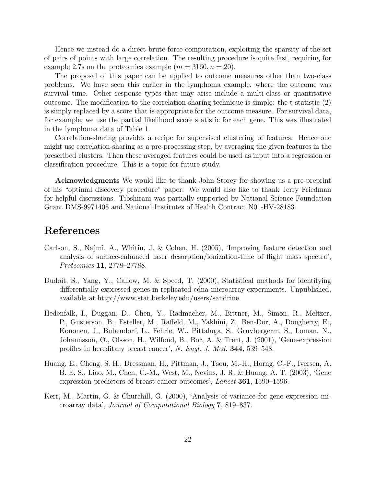Hence we instead do a direct brute force computation, exploiting the sparsity of the set of pairs of points with large correlation. The resulting procedure is quite fast, requiring for example 2.7s on the proteomics example  $(m = 3160, n = 20)$ .

The proposal of this paper can be applied to outcome measures other than two-class problems. We have seen this earlier in the lymphoma example, where the outcome was survival time. Other response types that may arise include a multi-class or quantitative outcome. The modification to the correlation-sharing technique is simple: the t-statistic (2) is simply replaced by a score that is appropriate for the outcome measure. For survival data, for example, we use the partial likelihood score statistic for each gene. This was illustrated in the lymphoma data of Table 1.

Correlation-sharing provides a recipe for supervised clustering of features. Hence one might use correlation-sharing as a pre-processing step, by averaging the given features in the prescribed clusters. Then these averaged features could be used as input into a regression or classification procedure. This is a topic for future study.

Acknowledgments We would like to thank John Storey for showing us a pre-preprint of his "optimal discovery procedure" paper. We would also like to thank Jerry Friedman for helpful discussions. Tibshirani was partially supported by National Science Foundation Grant DMS-9971405 and National Institutes of Health Contract N01-HV-28183.

## References

- Carlson, S., Najmi, A., Whitin, J. & Cohen, H. (2005), 'Improving feature detection and analysis of surface-enhanced laser desorption/ionization-time of flight mass spectra', Proteomics 11, 2778–27788.
- Dudoit, S., Yang, Y., Callow, M. & Speed, T. (2000), Statistical methods for identifying differentially expressed genes in replicated cdna microarray experiments. Unpublished, available at http://www.stat.berkeley.edu/users/sandrine.
- Hedenfalk, I., Duggan, D., Chen, Y., Radmacher, M., Bittner, M., Simon, R., Meltzer, P., Gusterson, B., Esteller, M., Raffeld, M., Yakhini, Z., Ben-Dor, A., Dougherty, E., Kononen, J., Bubendorf, L., Fehrle, W., Pittaluga, S., Gruvbergerm, S., Loman, N., Johannsson, O., Olsson, H., Wilfond, B., Bor, A. & Trent, J. (2001), 'Gene-expression profiles in hereditary breast cancer', N. Engl. J. Med. 344, 539–548.
- Huang, E., Cheng, S. H., Dressman, H., Pittman, J., Tsou, M.-H., Horng, C.-F., Iversen, A. B. E. S., Liao, M., Chen, C.-M., West, M., Nevins, J. R. & Huang, A. T. (2003), 'Gene expression predictors of breast cancer outcomes', Lancet 361, 1590–1596.
- Kerr, M., Martin, G. & Churchill, G. (2000), 'Analysis of variance for gene expression microarray data', Journal of Computational Biology 7, 819–837.